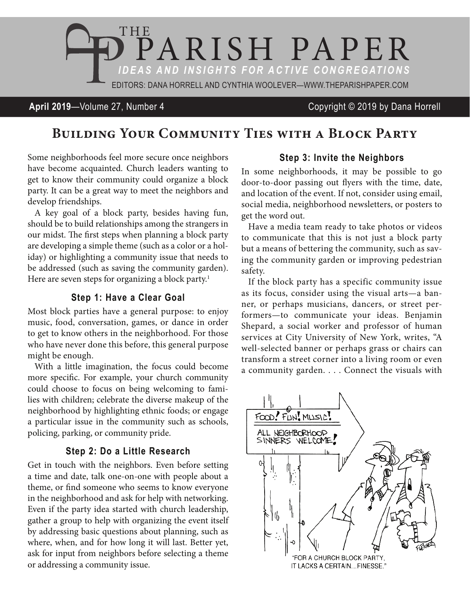

#### **April 2019**—Volume 27, Number 4 Copyright © 2019 by Dana Horrell

# **Building Your Community Ties with a Block Party**

Some neighborhoods feel more secure once neighbors have become acquainted. Church leaders wanting to get to know their community could organize a block party. It can be a great way to meet the neighbors and develop friendships.

A key goal of a block party, besides having fun, should be to build relationships among the strangers in our midst. The first steps when planning a block party are developing a simple theme (such as a color or a holiday) or highlighting a community issue that needs to be addressed (such as saving the community garden). Here are seven steps for organizing a block party.<sup>1</sup>

#### **Step 1: Have a Clear Goal**

Most block parties have a general purpose: to enjoy music, food, conversation, games, or dance in order to get to know others in the neighborhood. For those who have never done this before, this general purpose might be enough.

With a little imagination, the focus could become more specifc. For example, your church community could choose to focus on being welcoming to families with children; celebrate the diverse makeup of the neighborhood by highlighting ethnic foods; or engage a particular issue in the community such as schools, policing, parking, or community pride.

#### **Step 2: Do a Little Research**

Get in touch with the neighbors. Even before setting a time and date, talk one-on-one with people about a theme, or fnd someone who seems to know everyone in the neighborhood and ask for help with networking. Even if the party idea started with church leadership, gather a group to help with organizing the event itself by addressing basic questions about planning, such as where, when, and for how long it will last. Better yet, ask for input from neighbors before selecting a theme or addressing a community issue.

#### **Step 3: Invite the Neighbors**

In some neighborhoods, it may be possible to go door-to-door passing out fyers with the time, date, and location of the event. If not, consider using email, social media, neighborhood newsletters, or posters to get the word out.

Have a media team ready to take photos or videos to communicate that this is not just a block party but a means of bettering the community, such as saving the community garden or improving pedestrian safety.

If the block party has a specific community issue as its focus, consider using the visual arts—a banner, or perhaps musicians, dancers, or street performers—to communicate your ideas. Benjamin Shepard, a social worker and professor of human services at City University of New York, writes, "A well-selected banner or perhaps grass or chairs can transform a street corner into a living room or even a community garden. . . . Connect the visuals with